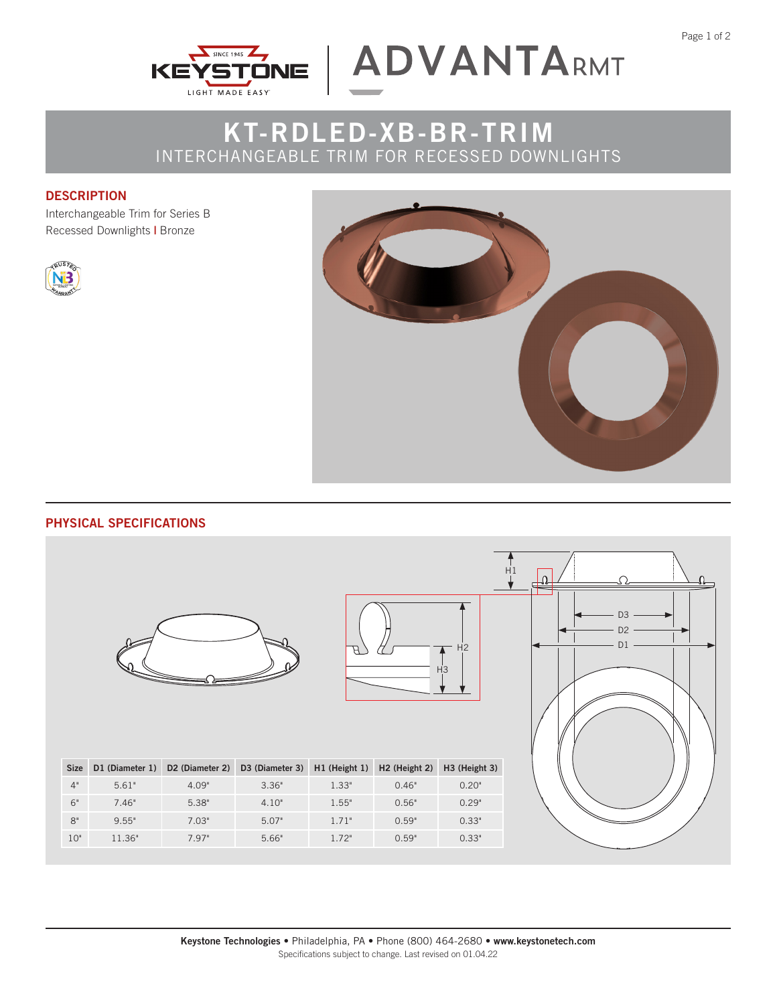



## **KT-RDLED-XB-BR-TRIM** INTERCHANGEABLE TRIM FOR RECESSED DOWNLIGHTS

## **DESCRIPTION**

Interchangeable Trim for Series B Recessed Downlights **|** Bronze





## **PHYSICAL SPECIFICATIONS**





| <b>Size</b> | D1 (Diameter 1) | D <sub>2</sub> (Diameter 2) | D3 (Diameter 3) H1 (Height 1) H2 (Height 2) |       |       | H <sub>3</sub> (Height 3) |
|-------------|-----------------|-----------------------------|---------------------------------------------|-------|-------|---------------------------|
| 4"          | 5.61"           | 4.09"                       | 3.36"                                       | 1.33" | 0.46" | 0.20"                     |
| 6"          | 7.46"           | 5.38"                       | 4.10"                                       | 1.55" | 0.56" | 0.29"                     |
| $8^{\circ}$ | 9.55"           | 7.03"                       | 5.07"                                       | 1.71" | 0.59" | 0.33"                     |
| 10"         | 11.36"          | 7.97"                       | 5.66"                                       | 1.72" | 0.59" | 0.33"                     |